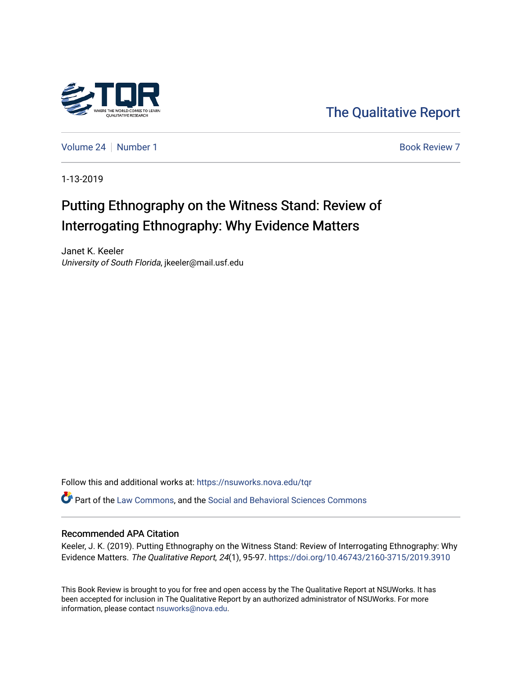

[The Qualitative Report](https://nsuworks.nova.edu/tqr) 

[Volume 24](https://nsuworks.nova.edu/tqr/vol24) [Number 1](https://nsuworks.nova.edu/tqr/vol24/iss1) **Book Review 7** Book Review 7

1-13-2019

# Putting Ethnography on the Witness Stand: Review of Interrogating Ethnography: Why Evidence Matters

Janet K. Keeler University of South Florida, jkeeler@mail.usf.edu

Follow this and additional works at: [https://nsuworks.nova.edu/tqr](https://nsuworks.nova.edu/tqr?utm_source=nsuworks.nova.edu%2Ftqr%2Fvol24%2Fiss1%2F7&utm_medium=PDF&utm_campaign=PDFCoverPages) 

Part of the [Law Commons](http://network.bepress.com/hgg/discipline/578?utm_source=nsuworks.nova.edu%2Ftqr%2Fvol24%2Fiss1%2F7&utm_medium=PDF&utm_campaign=PDFCoverPages), and the [Social and Behavioral Sciences Commons](http://network.bepress.com/hgg/discipline/316?utm_source=nsuworks.nova.edu%2Ftqr%2Fvol24%2Fiss1%2F7&utm_medium=PDF&utm_campaign=PDFCoverPages) 

#### Recommended APA Citation

Keeler, J. K. (2019). Putting Ethnography on the Witness Stand: Review of Interrogating Ethnography: Why Evidence Matters. The Qualitative Report, 24(1), 95-97.<https://doi.org/10.46743/2160-3715/2019.3910>

This Book Review is brought to you for free and open access by the The Qualitative Report at NSUWorks. It has been accepted for inclusion in The Qualitative Report by an authorized administrator of NSUWorks. For more information, please contact [nsuworks@nova.edu.](mailto:nsuworks@nova.edu)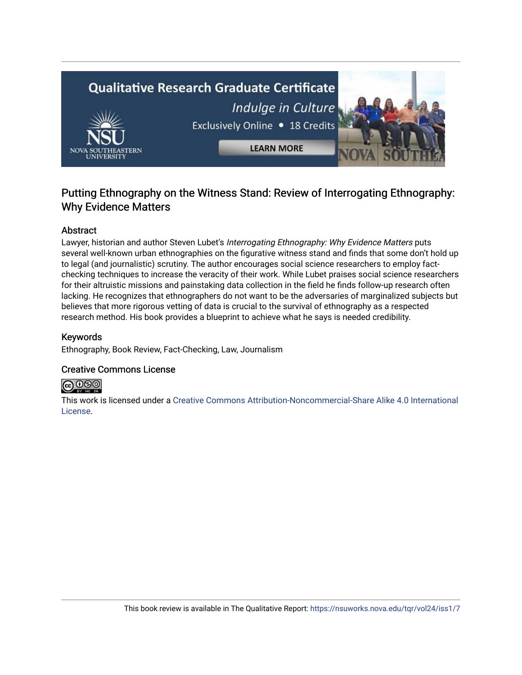# **Qualitative Research Graduate Certificate** Indulge in Culture Exclusively Online . 18 Credits **LEARN MORE**

### Putting Ethnography on the Witness Stand: Review of Interrogating Ethnography: Why Evidence Matters

#### Abstract

Lawyer, historian and author Steven Lubet's Interrogating Ethnography: Why Evidence Matters puts several well-known urban ethnographies on the figurative witness stand and finds that some don't hold up to legal (and journalistic) scrutiny. The author encourages social science researchers to employ factchecking techniques to increase the veracity of their work. While Lubet praises social science researchers for their altruistic missions and painstaking data collection in the field he finds follow-up research often lacking. He recognizes that ethnographers do not want to be the adversaries of marginalized subjects but believes that more rigorous vetting of data is crucial to the survival of ethnography as a respected research method. His book provides a blueprint to achieve what he says is needed credibility.

#### Keywords

Ethnography, Book Review, Fact-Checking, Law, Journalism

#### Creative Commons License



This work is licensed under a [Creative Commons Attribution-Noncommercial-Share Alike 4.0 International](https://creativecommons.org/licenses/by-nc-sa/4.0/)  [License](https://creativecommons.org/licenses/by-nc-sa/4.0/).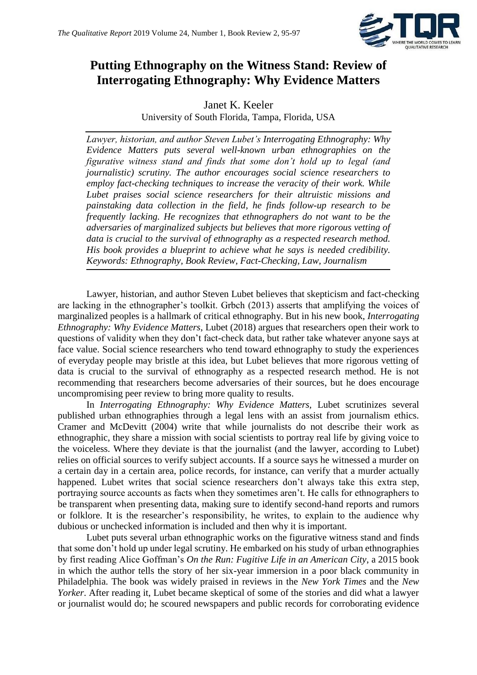

## **Putting Ethnography on the Witness Stand: Review of Interrogating Ethnography: Why Evidence Matters**

Janet K. Keeler University of South Florida, Tampa, Florida, USA

*Lawyer, historian, and author Steven Lubet's Interrogating Ethnography: Why Evidence Matters puts several well-known urban ethnographies on the figurative witness stand and finds that some don't hold up to legal (and journalistic) scrutiny. The author encourages social science researchers to employ fact-checking techniques to increase the veracity of their work. While Lubet praises social science researchers for their altruistic missions and painstaking data collection in the field, he finds follow-up research to be frequently lacking. He recognizes that ethnographers do not want to be the adversaries of marginalized subjects but believes that more rigorous vetting of data is crucial to the survival of ethnography as a respected research method. His book provides a blueprint to achieve what he says is needed credibility. Keywords: Ethnography, Book Review, Fact-Checking, Law, Journalism*

Lawyer, historian, and author Steven Lubet believes that skepticism and fact-checking are lacking in the ethnographer's toolkit. Grbch (2013) asserts that amplifying the voices of marginalized peoples is a hallmark of critical ethnography. But in his new book, *Interrogating Ethnography: Why Evidence Matters*, Lubet (2018) argues that researchers open their work to questions of validity when they don't fact-check data, but rather take whatever anyone says at face value. Social science researchers who tend toward ethnography to study the experiences of everyday people may bristle at this idea, but Lubet believes that more rigorous vetting of data is crucial to the survival of ethnography as a respected research method. He is not recommending that researchers become adversaries of their sources, but he does encourage uncompromising peer review to bring more quality to results.

In *Interrogating Ethnography: Why Evidence Matters,* Lubet scrutinizes several published urban ethnographies through a legal lens with an assist from journalism ethics. Cramer and McDevitt (2004) write that while journalists do not describe their work as ethnographic, they share a mission with social scientists to portray real life by giving voice to the voiceless. Where they deviate is that the journalist (and the lawyer, according to Lubet) relies on official sources to verify subject accounts. If a source says he witnessed a murder on a certain day in a certain area, police records, for instance, can verify that a murder actually happened. Lubet writes that social science researchers don't always take this extra step, portraying source accounts as facts when they sometimes aren't. He calls for ethnographers to be transparent when presenting data, making sure to identify second-hand reports and rumors or folklore. It is the researcher's responsibility, he writes, to explain to the audience why dubious or unchecked information is included and then why it is important.

Lubet puts several urban ethnographic works on the figurative witness stand and finds that some don't hold up under legal scrutiny. He embarked on his study of urban ethnographies by first reading Alice Goffman's *On the Run: Fugitive Life in an American City*, a 2015 book in which the author tells the story of her six-year immersion in a poor black community in Philadelphia. The book was widely praised in reviews in the *New York Times* and the *New Yorker*. After reading it, Lubet became skeptical of some of the stories and did what a lawyer or journalist would do; he scoured newspapers and public records for corroborating evidence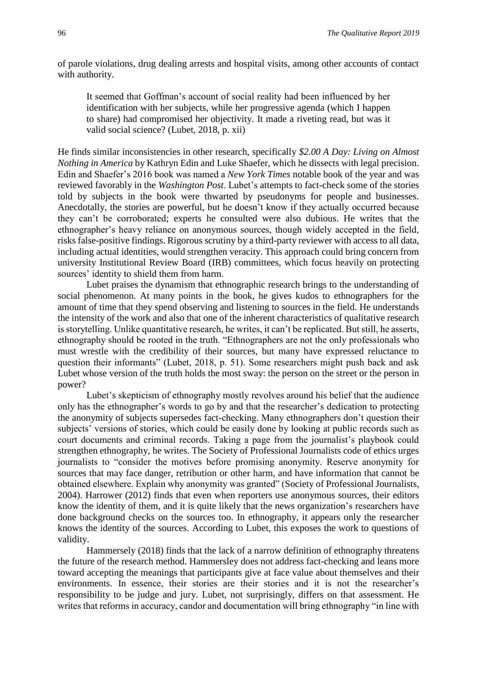of parole violations, drug dealing arrests and hospital visits, among other accounts of contact with authority.

It seemed that Goffman's account of social reality had been influenced by her identification with her subjects, while her progressive agenda (which I happen to share) had compromised her objectivity. It made a riveting read, but was it valid social science? (Lubet, 2018, p. xii)

He finds similar inconsistencies in other research, specifically *\$2.00 A Day: Living on Almost Nothing in America* by Kathryn Edin and Luke Shaefer, which he dissects with legal precision. Edin and Shaefer's 2016 book was named a *New York Times* notable book of the year and was reviewed favorably in the *Washington Post*. Lubet's attempts to fact-check some of the stories told by subjects in the book were thwarted by pseudonyms for people and businesses. Anecdotally, the stories are powerful, but he doesn't know if they actually occurred because they can't be corroborated; experts he consulted were also dubious. He writes that the ethnographer's heavy reliance on anonymous sources, though widely accepted in the field, risks false-positive findings. Rigorous scrutiny by a third-party reviewer with access to all data, including actual identities, would strengthen veracity. This approach could bring concern from university Institutional Review Board (IRB) committees, which focus heavily on protecting sources' identity to shield them from harm.

Lubet praises the dynamism that ethnographic research brings to the understanding of social phenomenon. At many points in the book, he gives kudos to ethnographers for the amount of time that they spend observing and listening to sources in the field. He understands the intensity of the work and also that one of the inherent characteristics of qualitative research is storytelling. Unlike quantitative research, he writes, it can't be replicated. But still, he asserts, ethnography should be rooted in the truth. "Ethnographers are not the only professionals who must wrestle with the credibility of their sources, but many have expressed reluctance to question their informants" (Lubet, 2018, p. 51). Some researchers might push back and ask Lubet whose version of the truth holds the most sway: the person on the street or the person in power?

Lubet's skepticism of ethnography mostly revolves around his belief that the audience only has the ethnographer's words to go by and that the researcher's dedication to protecting the anonymity of subjects supersedes fact-checking. Many ethnographers don't question their subjects' versions of stories, which could be easily done by looking at public records such as court documents and criminal records. Taking a page from the journalist's playbook could strengthen ethnography, he writes. The Society of Professional Journalists code of ethics urges journalists to "consider the motives before promising anonymity. Reserve anonymity for sources that may face danger, retribution or other harm, and have information that cannot be obtained elsewhere. Explain why anonymity was granted" (Society of Professional Journalists, 2004). Harrower (2012) finds that even when reporters use anonymous sources, their editors know the identity of them, and it is quite likely that the news organization's researchers have done background checks on the sources too. In ethnography, it appears only the researcher knows the identity of the sources. According to Lubet, this exposes the work to questions of validity.

Hammersely (2018) finds that the lack of a narrow definition of ethnography threatens the future of the research method. Hammersley does not address fact-checking and leans more toward accepting the meanings that participants give at face value about themselves and their environments. In essence, their stories are their stories and it is not the researcher's responsibility to be judge and jury. Lubet, not surprisingly, differs on that assessment. He writes that reforms in accuracy, candor and documentation will bring ethnography "in line with